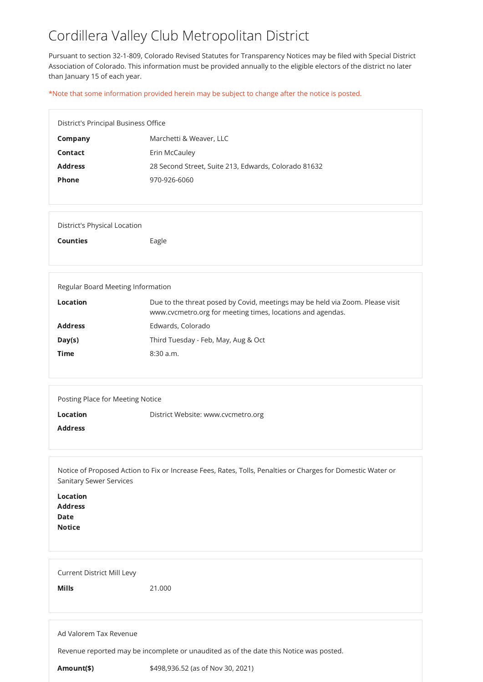# Cordillera Valley Club Metropolitan District

Pursuant to section 32-1-809, Colorado Revised Statutes for Transparency Notices may be filed with Special District Association of Colorado. This information must be provided annually to the eligible electors of the district no later than January 15 of each year.

| <b>District's Principal Business Office</b> |                                                      |
|---------------------------------------------|------------------------------------------------------|
| Company                                     | Marchetti & Weaver, LLC                              |
| <b>Contact</b>                              | Erin McCauley                                        |
| <b>Address</b>                              | 28 Second Street, Suite 213, Edwards, Colorado 81632 |
| <b>Phone</b>                                | 970-926-6060                                         |
|                                             |                                                      |

\*Note that some information provided herein may be subject to change after the notice is posted.

|                        | <b>Date</b><br><b>Notice</b>      |                                                                                        |
|------------------------|-----------------------------------|----------------------------------------------------------------------------------------|
|                        | <b>Current District Mill Levy</b> |                                                                                        |
|                        | <b>Mills</b>                      | 21.000                                                                                 |
|                        |                                   |                                                                                        |
| Ad Valorem Tax Revenue |                                   |                                                                                        |
|                        |                                   | Revenue reported may be incomplete or unaudited as of the date this Notice was posted. |
|                        | Amount(\$)                        | \$498,936.52 (as of Nov 30, 2021)                                                      |

District's Physical Location

Counties **Eagle** 

| Regular Board Meeting Information |                                                                                                                                             |
|-----------------------------------|---------------------------------------------------------------------------------------------------------------------------------------------|
| Location                          | Due to the threat posed by Covid, meetings may be held via Zoom. Please visit<br>www.cvcmetro.org for meeting times, locations and agendas. |
| <b>Address</b>                    | Edwards, Colorado                                                                                                                           |
| Day(s)                            | Third Tuesday - Feb, May, Aug & Oct                                                                                                         |
| <b>Time</b>                       | $8:30$ a.m.                                                                                                                                 |
|                                   |                                                                                                                                             |

| Posting Place for Meeting Notice |                                    |
|----------------------------------|------------------------------------|
| <b>Location</b>                  | District Website: www.cvcmetro.org |
| <b>Address</b>                   |                                    |
|                                  |                                    |

Notice of Proposed Action to Fix or Increase Fees, Rates, Tolls, Penalties or Charges for Domestic Water or Sanitary Sewer Services

Location Address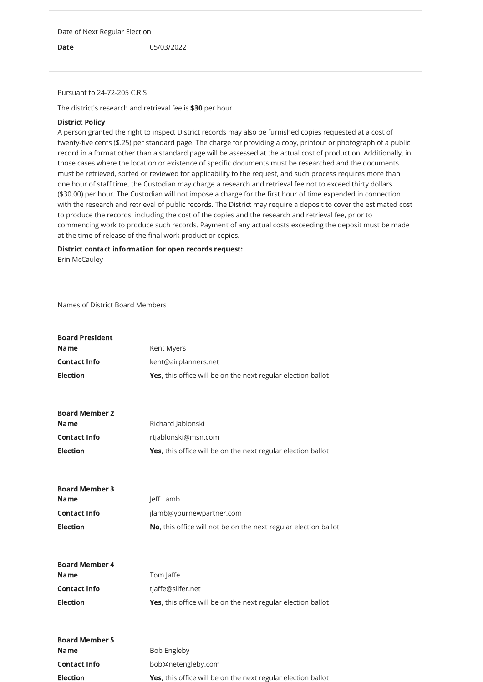Date of Next Regular Election

**Date** 05/03/2022

Pursuant to 24-72-205 C.R.S

The district's research and retrieval fee is \$30 per hour

### District Policy

A person granted the right to inspect District records may also be furnished copies requested at a cost of twenty-five cents (\$.25) per standard page. The charge for providing a copy, printout or photograph of a public record in a format other than a standard page will be assessed at the actual cost of production. Additionally, in those cases where the location or existence of specific documents must be researched and the documents must be retrieved, sorted or reviewed for applicability to the request, and such process requires more than one hour of staff time, the Custodian may charge a research and retrieval fee not to exceed thirty dollars (\$30.00) per hour. The Custodian will not impose a charge for the first hour of time expended in connection with the research and retrieval of public records. The District may require a deposit to cover the estimated cost to produce the records, including the cost of the copies and the research and retrieval fee, prior to commencing work to produce such records. Payment of any actual costs exceeding the deposit must be made at the time of release of the final work product or copies.

## District contact information for open records request: Erin McCauley

#### Names of District Board Members

# Board President

| <b>Name</b>         | Kent Myers                                                          |
|---------------------|---------------------------------------------------------------------|
| <b>Contact Info</b> | kent@airplanners.net                                                |
| <b>Election</b>     | <b>Yes,</b> this office will be on the next regular election ballot |

| <b>Board Member 2</b> |                                                                     |
|-----------------------|---------------------------------------------------------------------|
| <b>Name</b>           | Richard Jablonski                                                   |
| <b>Contact Info</b>   | rtjablonski@msn.com                                                 |
| <b>Election</b>       | <b>Yes,</b> this office will be on the next regular election ballot |

| <b>Board Member 3</b> |                                                                 |
|-----------------------|-----------------------------------------------------------------|
| <b>Name</b>           | Jeff Lamb                                                       |
| <b>Contact Info</b>   | jlamb@yournewpartner.com                                        |
| <b>Election</b>       | No, this office will not be on the next regular election ballot |
|                       |                                                                 |
|                       |                                                                 |
| <b>Board Member 4</b> |                                                                 |
| <b>Name</b>           | Tom Jaffe                                                       |
| <b>Contact Info</b>   | tjaffe@slifer.net                                               |
| <b>Election</b>       | Yes, this office will be on the next regular election ballot    |
|                       |                                                                 |
|                       |                                                                 |
| <b>Board Member 5</b> |                                                                 |
| <b>Name</b>           | <b>Bob Engleby</b>                                              |
| <b>Contact Info</b>   | bob@netengleby.com                                              |
| <b>Election</b>       | Yes, this office will be on the next regular election ballot    |